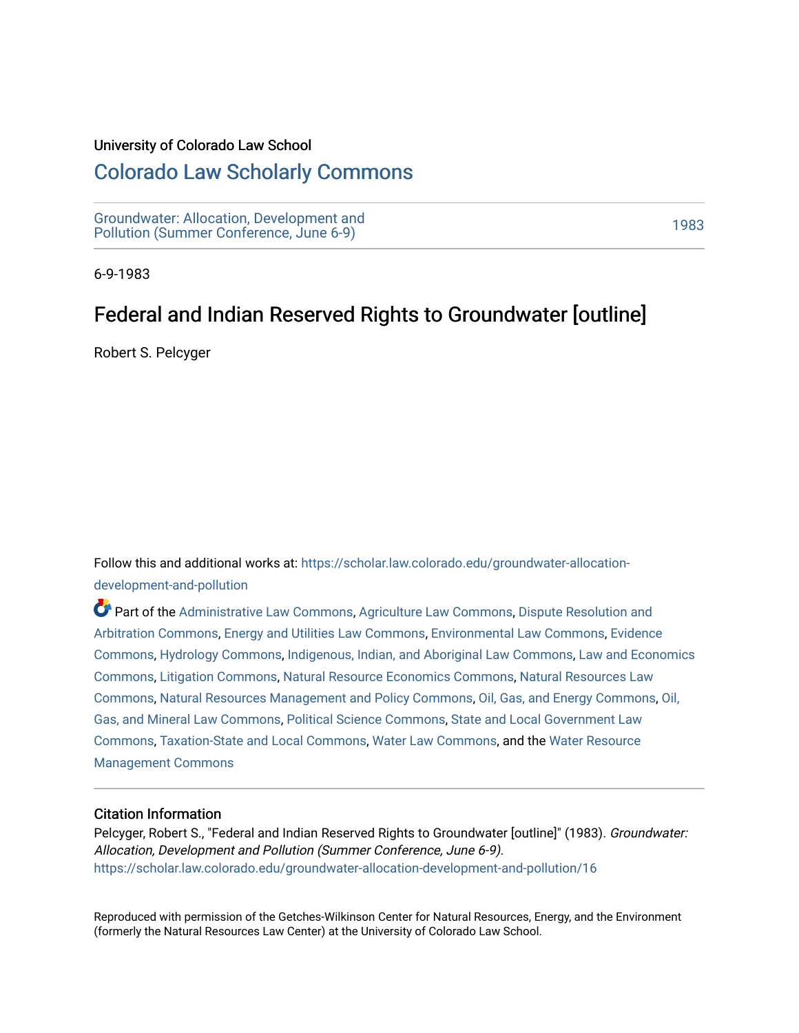#### University of Colorado Law School

## [Colorado Law Scholarly Commons](https://scholar.law.colorado.edu/)

[Groundwater: Allocation, Development and](https://scholar.law.colorado.edu/groundwater-allocation-development-and-pollution)  Gioundwater. Allocation, Development and<br>Pollution (Summer Conference, June 6-9)

6-9-1983

# Federal and Indian Reserved Rights to Groundwater [outline]

Robert S. Pelcyger

Follow this and additional works at: [https://scholar.law.colorado.edu/groundwater-allocation](https://scholar.law.colorado.edu/groundwater-allocation-development-and-pollution?utm_source=scholar.law.colorado.edu%2Fgroundwater-allocation-development-and-pollution%2F16&utm_medium=PDF&utm_campaign=PDFCoverPages)[development-and-pollution](https://scholar.law.colorado.edu/groundwater-allocation-development-and-pollution?utm_source=scholar.law.colorado.edu%2Fgroundwater-allocation-development-and-pollution%2F16&utm_medium=PDF&utm_campaign=PDFCoverPages)

Part of the [Administrative Law Commons,](http://network.bepress.com/hgg/discipline/579?utm_source=scholar.law.colorado.edu%2Fgroundwater-allocation-development-and-pollution%2F16&utm_medium=PDF&utm_campaign=PDFCoverPages) [Agriculture Law Commons](http://network.bepress.com/hgg/discipline/581?utm_source=scholar.law.colorado.edu%2Fgroundwater-allocation-development-and-pollution%2F16&utm_medium=PDF&utm_campaign=PDFCoverPages), [Dispute Resolution and](http://network.bepress.com/hgg/discipline/890?utm_source=scholar.law.colorado.edu%2Fgroundwater-allocation-development-and-pollution%2F16&utm_medium=PDF&utm_campaign=PDFCoverPages) [Arbitration Commons](http://network.bepress.com/hgg/discipline/890?utm_source=scholar.law.colorado.edu%2Fgroundwater-allocation-development-and-pollution%2F16&utm_medium=PDF&utm_campaign=PDFCoverPages), [Energy and Utilities Law Commons](http://network.bepress.com/hgg/discipline/891?utm_source=scholar.law.colorado.edu%2Fgroundwater-allocation-development-and-pollution%2F16&utm_medium=PDF&utm_campaign=PDFCoverPages), [Environmental Law Commons,](http://network.bepress.com/hgg/discipline/599?utm_source=scholar.law.colorado.edu%2Fgroundwater-allocation-development-and-pollution%2F16&utm_medium=PDF&utm_campaign=PDFCoverPages) [Evidence](http://network.bepress.com/hgg/discipline/601?utm_source=scholar.law.colorado.edu%2Fgroundwater-allocation-development-and-pollution%2F16&utm_medium=PDF&utm_campaign=PDFCoverPages)  [Commons](http://network.bepress.com/hgg/discipline/601?utm_source=scholar.law.colorado.edu%2Fgroundwater-allocation-development-and-pollution%2F16&utm_medium=PDF&utm_campaign=PDFCoverPages), [Hydrology Commons](http://network.bepress.com/hgg/discipline/1054?utm_source=scholar.law.colorado.edu%2Fgroundwater-allocation-development-and-pollution%2F16&utm_medium=PDF&utm_campaign=PDFCoverPages), [Indigenous, Indian, and Aboriginal Law Commons](http://network.bepress.com/hgg/discipline/894?utm_source=scholar.law.colorado.edu%2Fgroundwater-allocation-development-and-pollution%2F16&utm_medium=PDF&utm_campaign=PDFCoverPages), [Law and Economics](http://network.bepress.com/hgg/discipline/612?utm_source=scholar.law.colorado.edu%2Fgroundwater-allocation-development-and-pollution%2F16&utm_medium=PDF&utm_campaign=PDFCoverPages)  [Commons](http://network.bepress.com/hgg/discipline/612?utm_source=scholar.law.colorado.edu%2Fgroundwater-allocation-development-and-pollution%2F16&utm_medium=PDF&utm_campaign=PDFCoverPages), [Litigation Commons,](http://network.bepress.com/hgg/discipline/910?utm_source=scholar.law.colorado.edu%2Fgroundwater-allocation-development-and-pollution%2F16&utm_medium=PDF&utm_campaign=PDFCoverPages) [Natural Resource Economics Commons,](http://network.bepress.com/hgg/discipline/169?utm_source=scholar.law.colorado.edu%2Fgroundwater-allocation-development-and-pollution%2F16&utm_medium=PDF&utm_campaign=PDFCoverPages) [Natural Resources Law](http://network.bepress.com/hgg/discipline/863?utm_source=scholar.law.colorado.edu%2Fgroundwater-allocation-development-and-pollution%2F16&utm_medium=PDF&utm_campaign=PDFCoverPages)  [Commons](http://network.bepress.com/hgg/discipline/863?utm_source=scholar.law.colorado.edu%2Fgroundwater-allocation-development-and-pollution%2F16&utm_medium=PDF&utm_campaign=PDFCoverPages), [Natural Resources Management and Policy Commons,](http://network.bepress.com/hgg/discipline/170?utm_source=scholar.law.colorado.edu%2Fgroundwater-allocation-development-and-pollution%2F16&utm_medium=PDF&utm_campaign=PDFCoverPages) [Oil, Gas, and Energy Commons,](http://network.bepress.com/hgg/discipline/171?utm_source=scholar.law.colorado.edu%2Fgroundwater-allocation-development-and-pollution%2F16&utm_medium=PDF&utm_campaign=PDFCoverPages) [Oil,](http://network.bepress.com/hgg/discipline/864?utm_source=scholar.law.colorado.edu%2Fgroundwater-allocation-development-and-pollution%2F16&utm_medium=PDF&utm_campaign=PDFCoverPages)  [Gas, and Mineral Law Commons](http://network.bepress.com/hgg/discipline/864?utm_source=scholar.law.colorado.edu%2Fgroundwater-allocation-development-and-pollution%2F16&utm_medium=PDF&utm_campaign=PDFCoverPages), [Political Science Commons](http://network.bepress.com/hgg/discipline/386?utm_source=scholar.law.colorado.edu%2Fgroundwater-allocation-development-and-pollution%2F16&utm_medium=PDF&utm_campaign=PDFCoverPages), [State and Local Government Law](http://network.bepress.com/hgg/discipline/879?utm_source=scholar.law.colorado.edu%2Fgroundwater-allocation-development-and-pollution%2F16&utm_medium=PDF&utm_campaign=PDFCoverPages) [Commons](http://network.bepress.com/hgg/discipline/879?utm_source=scholar.law.colorado.edu%2Fgroundwater-allocation-development-and-pollution%2F16&utm_medium=PDF&utm_campaign=PDFCoverPages), [Taxation-State and Local Commons](http://network.bepress.com/hgg/discipline/882?utm_source=scholar.law.colorado.edu%2Fgroundwater-allocation-development-and-pollution%2F16&utm_medium=PDF&utm_campaign=PDFCoverPages), [Water Law Commons,](http://network.bepress.com/hgg/discipline/887?utm_source=scholar.law.colorado.edu%2Fgroundwater-allocation-development-and-pollution%2F16&utm_medium=PDF&utm_campaign=PDFCoverPages) and the [Water Resource](http://network.bepress.com/hgg/discipline/1057?utm_source=scholar.law.colorado.edu%2Fgroundwater-allocation-development-and-pollution%2F16&utm_medium=PDF&utm_campaign=PDFCoverPages) [Management Commons](http://network.bepress.com/hgg/discipline/1057?utm_source=scholar.law.colorado.edu%2Fgroundwater-allocation-development-and-pollution%2F16&utm_medium=PDF&utm_campaign=PDFCoverPages)

#### Citation Information

Pelcyger, Robert S., "Federal and Indian Reserved Rights to Groundwater [outline]" (1983). Groundwater: Allocation, Development and Pollution (Summer Conference, June 6-9). [https://scholar.law.colorado.edu/groundwater-allocation-development-and-pollution/16](https://scholar.law.colorado.edu/groundwater-allocation-development-and-pollution/16?utm_source=scholar.law.colorado.edu%2Fgroundwater-allocation-development-and-pollution%2F16&utm_medium=PDF&utm_campaign=PDFCoverPages) 

Reproduced with permission of the Getches-Wilkinson Center for Natural Resources, Energy, and the Environment (formerly the Natural Resources Law Center) at the University of Colorado Law School.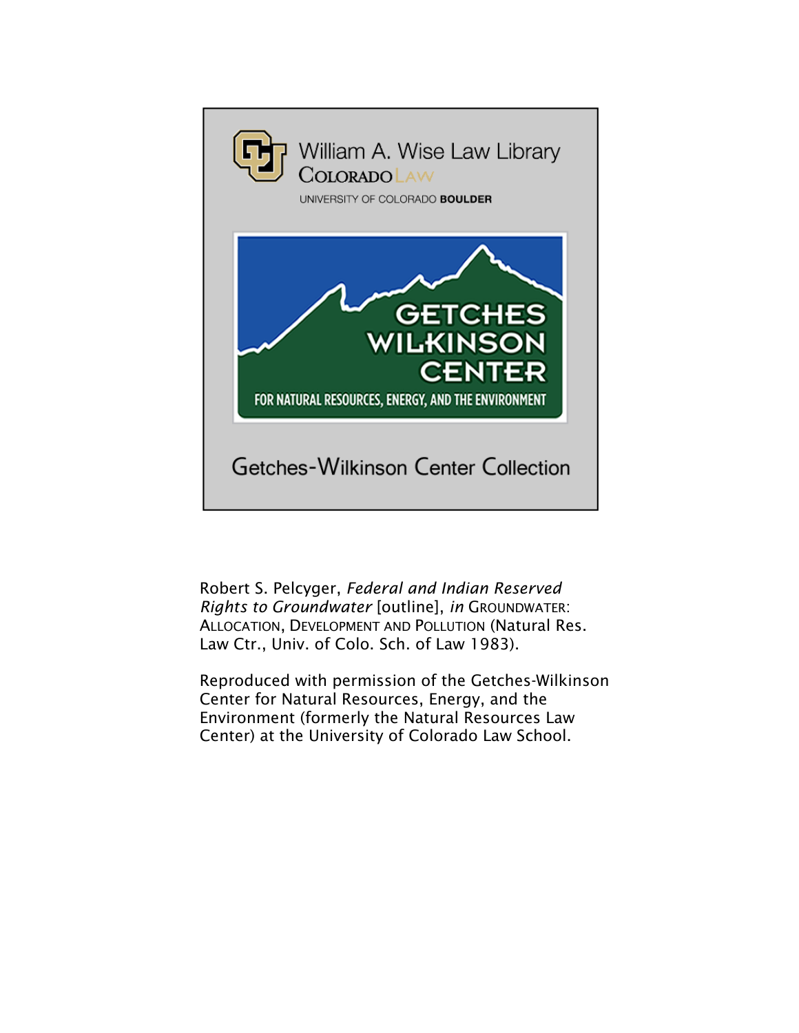

Robert S. Pelcyger, *Federal and Indian Reserved Rights to Groundwater* [outline], *in* GROUNDWATER: ALLOCATION, DEVELOPMENT AND POLLUTION (Natural Res. Law Ctr., Univ. of Colo. Sch. of Law 1983).

Reproduced with permission of the Getches-Wilkinson Center for Natural Resources, Energy, and the Environment (formerly the Natural Resources Law Center) at the University of Colorado Law School.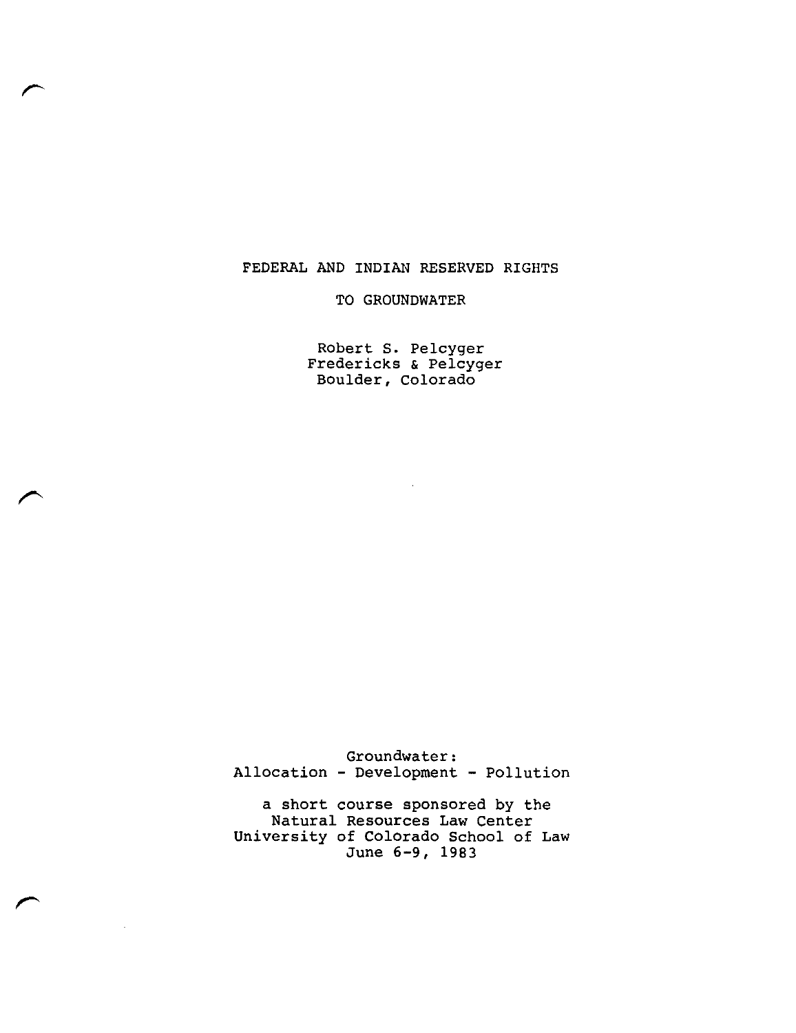### FEDERAL AND INDIAN RESERVED RIGHTS

r

 $\overline{a}$ 

 $\overline{ }$ 

TO GROUNDWATER

Robert S. Pelcyger Fredericks & Pelcyger Boulder, Colorado

 $\mathcal{A}$ 

Groundwater: Allocation - Development - Pollution

a short course sponsored by the Natural Resources Law Center University of Colorado School of Law June 6-9, 1983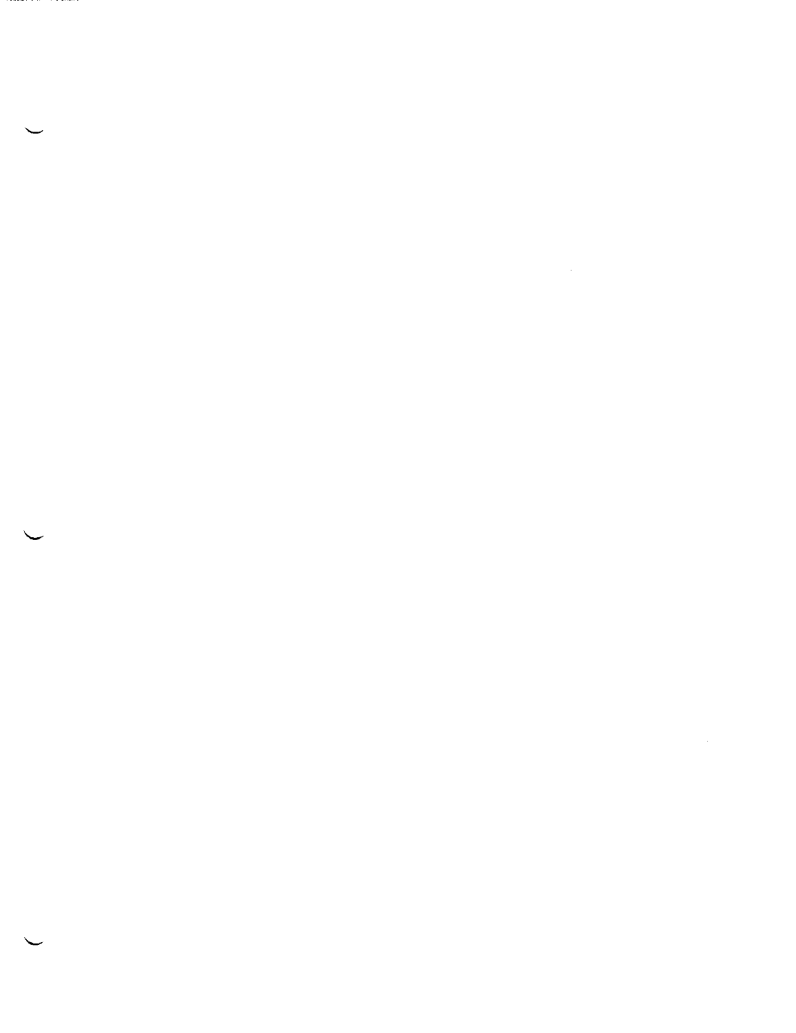$\label{eq:2.1} \frac{1}{\sqrt{2}}\int_{\mathbb{R}^3}\frac{1}{\sqrt{2}}\left(\frac{1}{\sqrt{2}}\right)^2\frac{1}{\sqrt{2}}\left(\frac{1}{\sqrt{2}}\right)^2\frac{1}{\sqrt{2}}\left(\frac{1}{\sqrt{2}}\right)^2\frac{1}{\sqrt{2}}\left(\frac{1}{\sqrt{2}}\right)^2\frac{1}{\sqrt{2}}\left(\frac{1}{\sqrt{2}}\right)^2\frac{1}{\sqrt{2}}\frac{1}{\sqrt{2}}\frac{1}{\sqrt{2}}\frac{1}{\sqrt{2}}\frac{1}{\sqrt{2}}\frac{1}{\sqrt{2}}$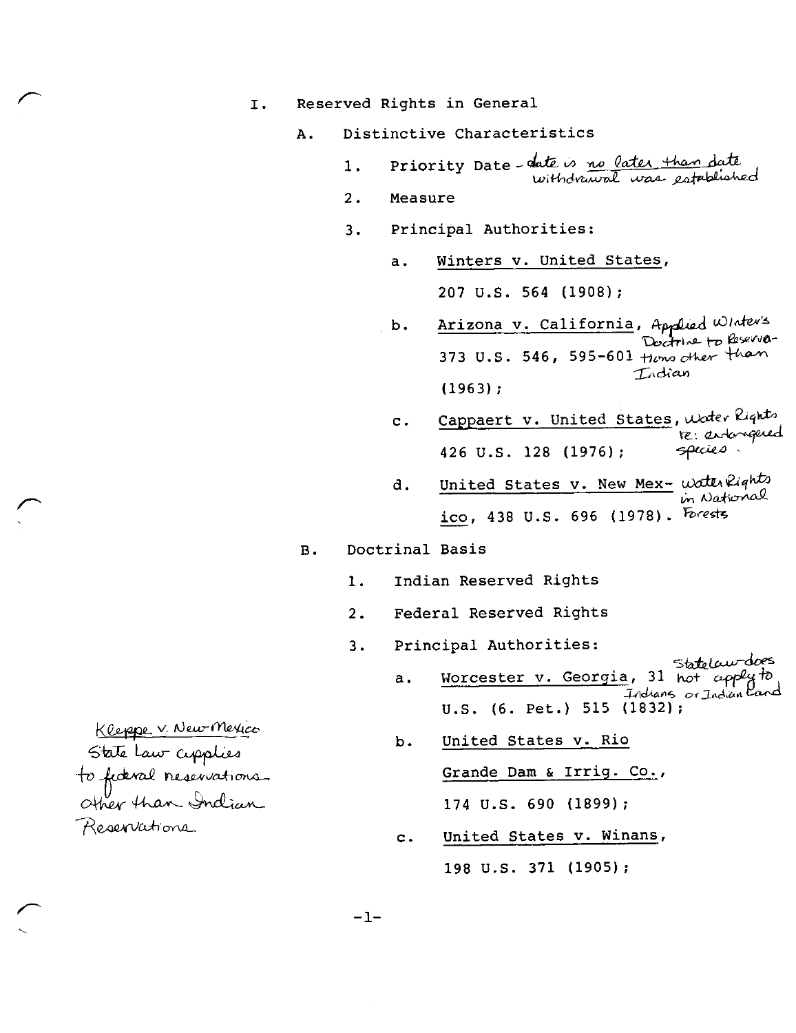Reserved Rights in General I.

#### Distinctive Characteristics A.

- Priority Date-date is no later than date  $1.$
- $2.$ Measure
- Principal Authorities:  $3.$ 
	- Winters v. United States,  $a.$

 $207 \text{ U.S. } 564 \text{ (}1908 \text{)}$ ;

- Arizona v. California, Applied Winter's  $\mathbf{b}$ . Doctrine to Reserva-373 U.S. 546, 595-601 Hons other than Tidian  $(1963);$ 
	- Cappaert v. United States, Water Rights  $C$ . re: endoroqued species : 426 U.S. 128 (1976);
	- United States v. New Mex- water Rights d. in National ico, 438 U.S. 696 (1978). Forests
- Doctrinal Basis **B**.
	- Indian Reserved Rights  $1.$
	- Federal Reserved Rights  $2.$
	- Principal Authorities:  $3.$ 
		- Statelaw does Morcester v. Georgia, 31 not capply to  $a.$ U.S. (6. Pet.) 515 (1832);
		- United States v. Rio  $b.$

Grande Dam & Irrig. Co.,

174 U.S. 690 (1899);

United States v. Winans,  $c.$ 198 U.S. 371 (1905);

Kleppe V. New Mexico State Law cipplies<br>to federal neservations<br>Other than Indian Reservations

 $-1-$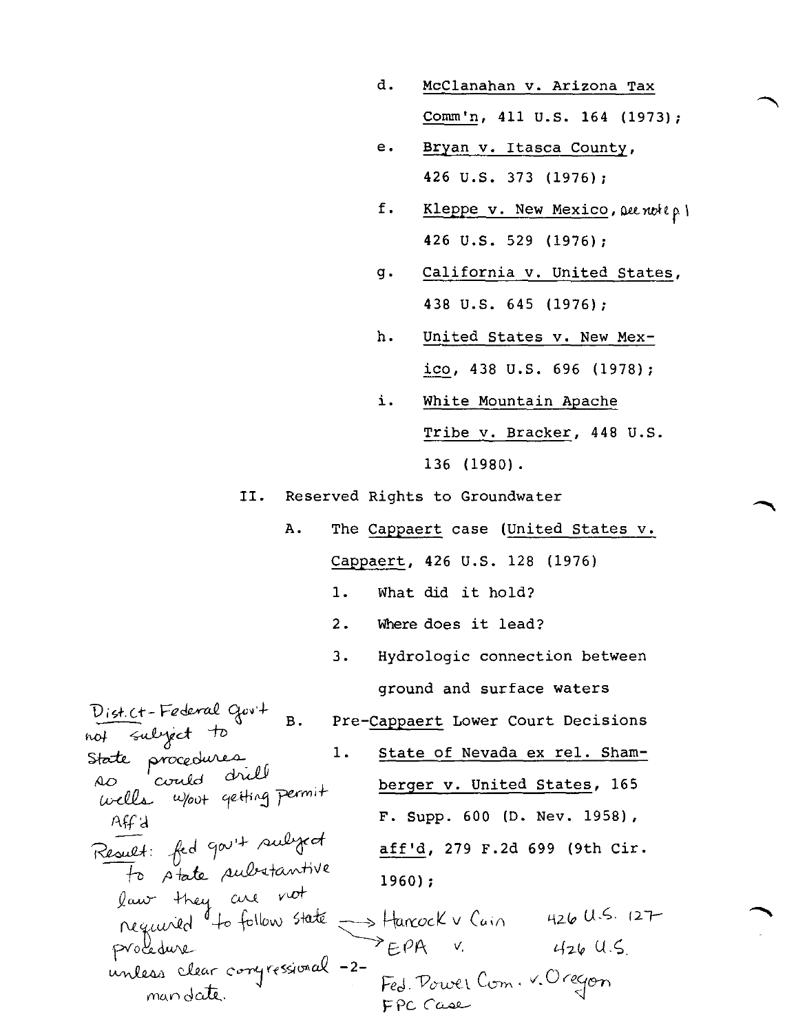- d. McClanahan v. Arizona Tax Comm'n, 411 U.S. 164 (1973);
- Bryan v. Itasca County, е. 426 U.S. 373 (1976);
- f. Kleppe v. New Mexico, see note p ) 426 U.S. 529 (1976);
- California v. United States, g. 438 U.S. 645 (1976);
- h. United States v. New Mexico, 438 U.S. 696 (1978);
- i. White Mountain Apache Tribe v. Bracker, 448 U.S. 136 (1980).

II. Reserved Rights to Groundwater

> The Cappaert case (United States v. Α.

> > Cappaert, 426 U.S. 128 (1976)

- What did it hold?  $1.$
- $2.$ Where does it lead?
- $3.$ Hydrologic connection between ground and surface waters

Dist Ct-Federal Gov+ **B.** Pre-Cappaert Lower Court Decisions not subject to State of Nevada ex rel. Sham-1. State procedures berger v. United States, 165 wells what getting permit F. Supp. 600 (D. Nev. 1958),  $Affd$ Result: fed gavit subject<br>to state substantive aff'd, 279 F.2d 699 (9th Cir. to Atace me vot<br>law they are vot<br>required to follow state Stancock v Cain 426 U.S. 127<br>and time proledure proceaux<br>unless clear congressional -2- Fed Dower Com. v. Oregon<br>FPC Case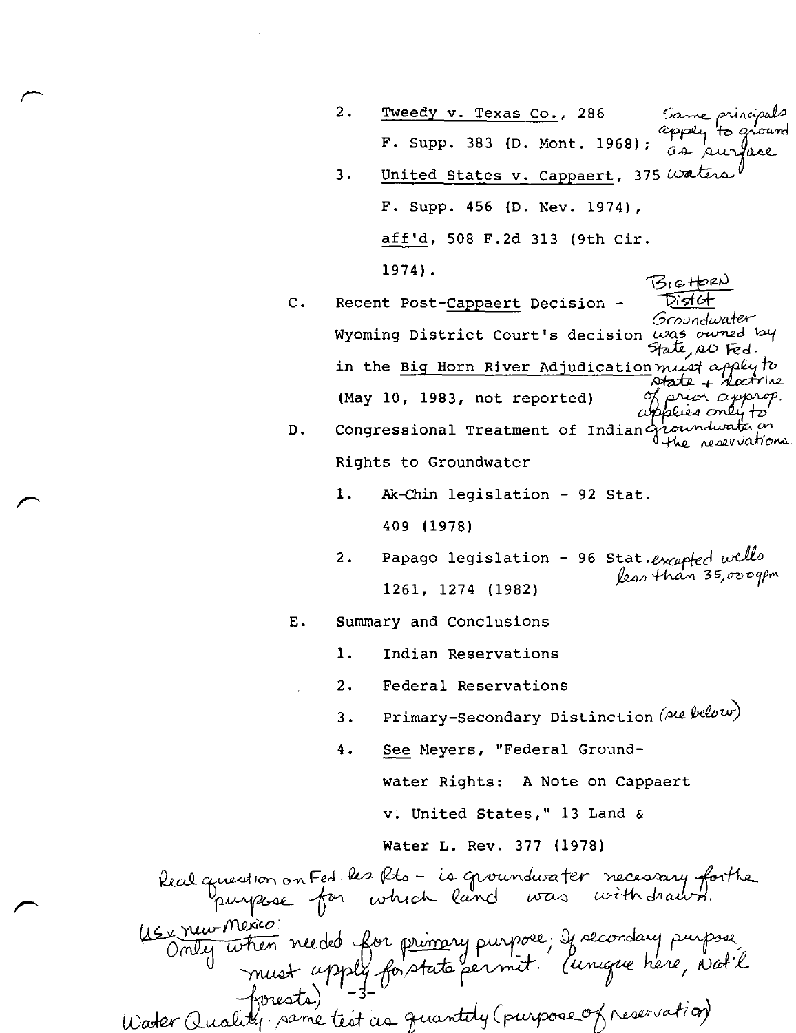- $2.$ Tweedy v. Texas Co., 286 Same principals apply to ground F. Supp. 383 (D. Mont. 1968); as surface
- United States v. Cappaert, 375 waters 3. F. Supp. 456 (D. Nev. 1974), aff'd, 508 F.2d 313 (9th Cir.  $1974$ .
- <u> 13, G HORN</u> Distat  $\mathbf{C}$ . Recent Post-Cappaert Decision -Groundwater Wyoming District Court's decision was owned by State, so Fed. in the Big Horn River Adjudication must apply to  $\Delta t$ ate +  $d$ catrine of prior approp. (May 10, 1983, not reported)
- applies only to<br>Congressional Treatment of Indian groundwater on D. Rights to Groundwater
	- 1. Ak-Chin legislation - 92 Stat. 409 (1978)
	- Papago legislation 96 Stat.excepted wells<br>leas than 35,000gpm 2. 1261, 1274 (1982)
- Ε. Summary and Conclusions
	- 1. Indian Reservations
	- $2.$ Federal Reservations
		- Primary-Secondary Distinction (see below)  $3.$
		- 4. See Meyers, "Federal Ground-

water Rights: A Note on Cappaert

v. United States," 13 Land &

Water L. Rev. 377 (1978)

Real question on Fed. Res. Rts - is groundwater necessary forthe Us remmersier meeded for primary purpose; y recondany purpose 1. same test as quantity (purpose of reservation) Water Qualit